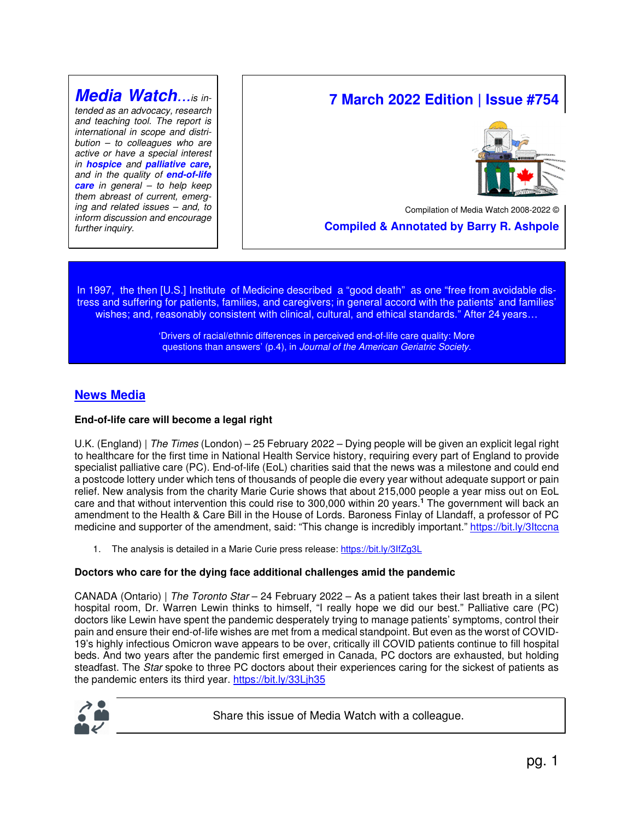# **Media Watch**...is in-

tended as an advocacy, research and teaching tool. The report is international in scope and distri $bution - to colleagues who are$ active or have a special interest in **hospice** and **palliative care,** and in the quality of **end-of-life care** in general – to help keep them abreast of current, emerging and related issues – and, to inform discussion and encourage further inquiry.

# **7 March 2022 Edition | Issue #754**



Compilation of Media Watch 2008-2022 ©

 **Compiled & Annotated by Barry R. Ashpole** 

In 1997, the then [U.S.] Institute of Medicine described a "good death" as one "free from avoidable distress and suffering for patients, families, and caregivers; in general accord with the patients' and families' wishes; and, reasonably consistent with clinical, cultural, and ethical standards." After 24 years...

> 'Drivers of racial/ethnic differences in perceived end-of-life care quality: More questions than answers' (p.4), in Journal of the American Geriatric Society.

# **News Media**

# **End-of-life care will become a legal right**

U.K. (England) | The Times (London) – 25 February 2022 – Dying people will be given an explicit legal right to healthcare for the first time in National Health Service history, requiring every part of England to provide specialist palliative care (PC). End-of-life (EoL) charities said that the news was a milestone and could end a postcode lottery under which tens of thousands of people die every year without adequate support or pain relief. New analysis from the charity Marie Curie shows that about 215,000 people a year miss out on EoL care and that without intervention this could rise to 300,000 within 20 years.**<sup>1</sup>** The government will back an amendment to the Health & Care Bill in the House of Lords. Baroness Finlay of Llandaff, a professor of PC medicine and supporter of the amendment, said: "This change is incredibly important." https://bit.ly/3Itccna

1. The analysis is detailed in a Marie Curie press release: https://bit.ly/3lfZg3L

# **Doctors who care for the dying face additional challenges amid the pandemic**

CANADA (Ontario) | The Toronto Star – 24 February 2022 – As a patient takes their last breath in a silent hospital room, Dr. Warren Lewin thinks to himself, "I really hope we did our best." Palliative care (PC) doctors like Lewin have spent the pandemic desperately trying to manage patients' symptoms, control their pain and ensure their end-of-life wishes are met from a medical standpoint. But even as the worst of COVID-19's highly infectious Omicron wave appears to be over, critically ill COVID patients continue to fill hospital beds. And two years after the pandemic first emerged in Canada, PC doctors are exhausted, but holding steadfast. The Star spoke to three PC doctors about their experiences caring for the sickest of patients as the pandemic enters its third year. https://bit.ly/33Ljh35



Share this issue of Media Watch with a colleague.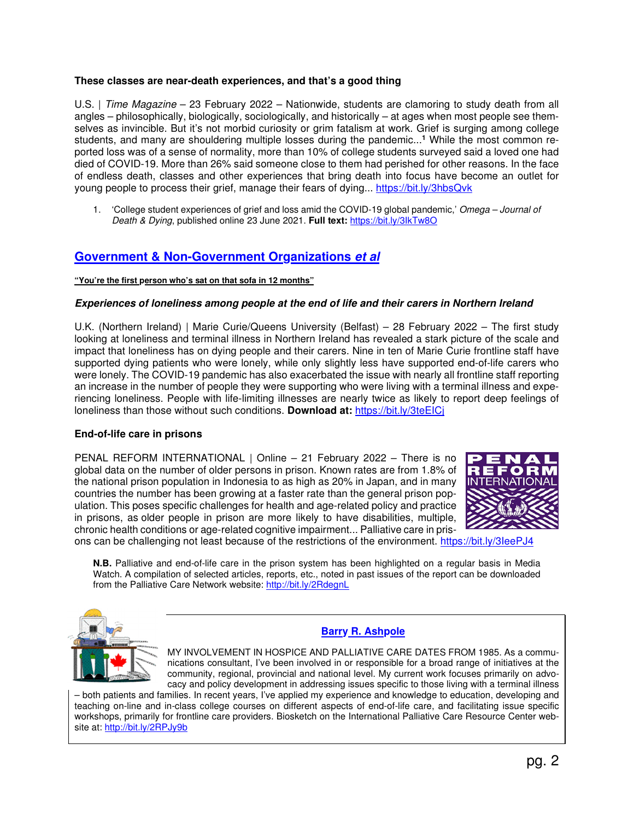# **These classes are near-death experiences, and that's a good thing**

U.S. | Time Magazine – 23 February 2022 – Nationwide, students are clamoring to study death from all angles – philosophically, biologically, sociologically, and historically – at ages when most people see themselves as invincible. But it's not morbid curiosity or grim fatalism at work. Grief is surging among college students, and many are shouldering multiple losses during the pandemic...**<sup>1</sup>** While the most common reported loss was of a sense of normality, more than 10% of college students surveyed said a loved one had died of COVID-19. More than 26% said someone close to them had perished for other reasons. In the face of endless death, classes and other experiences that bring death into focus have become an outlet for young people to process their grief, manage their fears of dying... https://bit.ly/3hbsQvk

1. 'College student experiences of grief and loss amid the COVID-19 global pandemic,' Omega – Journal of Death & Dying, published online 23 June 2021. **Full text:** https://bit.ly/3IkTw8O

# **Government & Non-Government Organizations et al**

#### **"You're the first person who's sat on that sofa in 12 months"**

#### **Experiences of loneliness among people at the end of life and their carers in Northern Ireland**

U.K. (Northern Ireland) | Marie Curie/Queens University (Belfast) – 28 February 2022 – The first study looking at loneliness and terminal illness in Northern Ireland has revealed a stark picture of the scale and impact that loneliness has on dying people and their carers. Nine in ten of Marie Curie frontline staff have supported dying patients who were lonely, while only slightly less have supported end-of-life carers who were lonely. The COVID-19 pandemic has also exacerbated the issue with nearly all frontline staff reporting an increase in the number of people they were supporting who were living with a terminal illness and experiencing loneliness. People with life-limiting illnesses are nearly twice as likely to report deep feelings of loneliness than those without such conditions. **Download at:** https://bit.ly/3teEICj

#### **End-of-life care in prisons**

PENAL REFORM INTERNATIONAL | Online – 21 February 2022 – There is no global data on the number of older persons in prison. Known rates are from 1.8% of the national prison population in Indonesia to as high as 20% in Japan, and in many countries the number has been growing at a faster rate than the general prison population. This poses specific challenges for health and age-related policy and practice in prisons, as older people in prison are more likely to have disabilities, multiple, chronic health conditions or age-related cognitive impairment... Palliative care in pris-



ons can be challenging not least because of the restrictions of the environment. https://bit.ly/3IeePJ4

**N.B.** Palliative and end-of-life care in the prison system has been highlighted on a regular basis in Media Watch. A compilation of selected articles, reports, etc., noted in past issues of the report can be downloaded from the Palliative Care Network website: http://bit.ly/2RdegnL



# **Barry R. Ashpole**

MY INVOLVEMENT IN HOSPICE AND PALLIATIVE CARE DATES FROM 1985. As a communications consultant, I've been involved in or responsible for a broad range of initiatives at the community, regional, provincial and national level. My current work focuses primarily on advocacy and policy development in addressing issues specific to those living with a terminal illness

– both patients and families. In recent years, I've applied my experience and knowledge to education, developing and teaching on-line and in-class college courses on different aspects of end-of-life care, and facilitating issue specific workshops, primarily for frontline care providers. Biosketch on the International Palliative Care Resource Center website at: http://bit.ly/2RPJy9b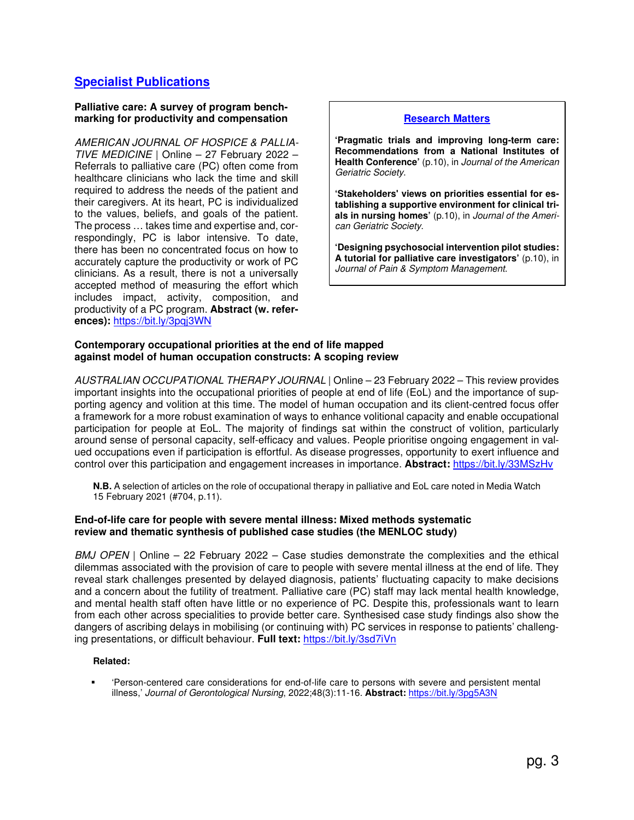# **Specialist Publications**

#### **Palliative care: A survey of program benchmarking for productivity and compensation**

AMERICAN JOURNAL OF HOSPICE & PALLIA-TIVE MEDICINE | Online – 27 February 2022 – Referrals to palliative care (PC) often come from healthcare clinicians who lack the time and skill required to address the needs of the patient and their caregivers. At its heart, PC is individualized to the values, beliefs, and goals of the patient. The process … takes time and expertise and, correspondingly, PC is labor intensive. To date, there has been no concentrated focus on how to accurately capture the productivity or work of PC clinicians. As a result, there is not a universally accepted method of measuring the effort which includes impact, activity, composition, and productivity of a PC program. **Abstract (w. references):** https://bit.ly/3pqj3WN

#### **Research Matters**

**'Pragmatic trials and improving long-term care: Recommendations from a National Institutes of Health Conference'** (p.10), in Journal of the American Geriatric Society.

**'Stakeholders' views on priorities essential for establishing a supportive environment for clinical trials in nursing homes'** (p.10), in Journal of the American Geriatric Society.

**'Designing psychosocial intervention pilot studies: A tutorial for palliative care investigators'** (p.10), in Journal of Pain & Symptom Management.

#### **Contemporary occupational priorities at the end of life mapped against model of human occupation constructs: A scoping review**

AUSTRALIAN OCCUPATIONAL THERAPY JOURNAL | Online – 23 February 2022 – This review provides important insights into the occupational priorities of people at end of life (EoL) and the importance of supporting agency and volition at this time. The model of human occupation and its client-centred focus offer a framework for a more robust examination of ways to enhance volitional capacity and enable occupational participation for people at EoL. The majority of findings sat within the construct of volition, particularly around sense of personal capacity, self-efficacy and values. People prioritise ongoing engagement in valued occupations even if participation is effortful. As disease progresses, opportunity to exert influence and control over this participation and engagement increases in importance. **Abstract:** https://bit.ly/33MSzHv

**N.B.** A selection of articles on the role of occupational therapy in palliative and EoL care noted in Media Watch 15 February 2021 (#704, p.11).

#### **End-of-life care for people with severe mental illness: Mixed methods systematic review and thematic synthesis of published case studies (the MENLOC study)**

 $BMJ$  OPEN | Online – 22 February 2022 – Case studies demonstrate the complexities and the ethical dilemmas associated with the provision of care to people with severe mental illness at the end of life. They reveal stark challenges presented by delayed diagnosis, patients' fluctuating capacity to make decisions and a concern about the futility of treatment. Palliative care (PC) staff may lack mental health knowledge, and mental health staff often have little or no experience of PC. Despite this, professionals want to learn from each other across specialities to provide better care. Synthesised case study findings also show the dangers of ascribing delays in mobilising (or continuing with) PC services in response to patients' challenging presentations, or difficult behaviour. **Full text:** https://bit.ly/3sd7iVn

#### **Related:**

 'Person-centered care considerations for end-of-life care to persons with severe and persistent mental illness,' Journal of Gerontological Nursing, 2022;48(3):11-16. **Abstract:** https://bit.ly/3pg5A3N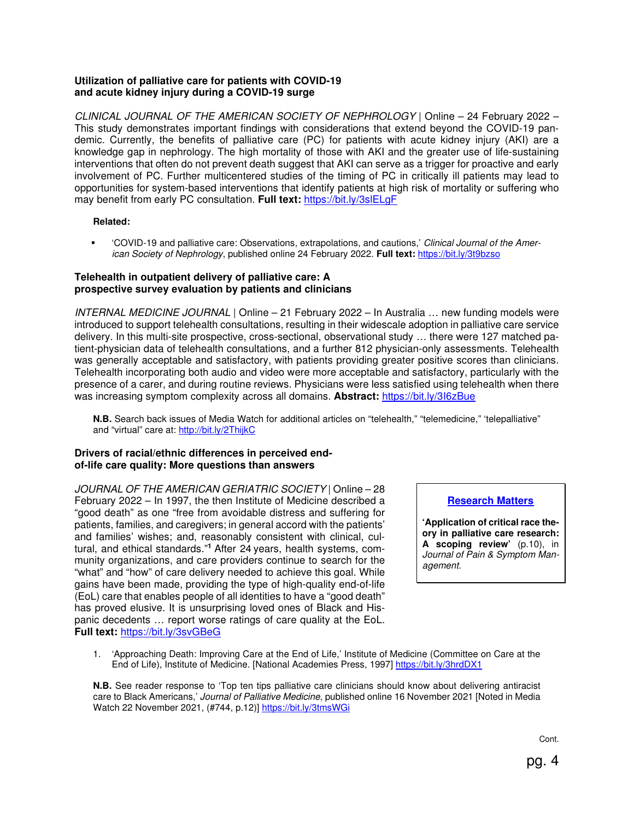### **Utilization of palliative care for patients with COVID-19 and acute kidney injury during a COVID-19 surge**

CLINICAL JOURNAL OF THE AMERICAN SOCIETY OF NEPHROLOGY | Online – 24 February 2022 – This study demonstrates important findings with considerations that extend beyond the COVID-19 pandemic. Currently, the benefits of palliative care (PC) for patients with acute kidney injury (AKI) are a knowledge gap in nephrology. The high mortality of those with AKI and the greater use of life-sustaining interventions that often do not prevent death suggest that AKI can serve as a trigger for proactive and early involvement of PC. Further multicentered studies of the timing of PC in critically ill patients may lead to opportunities for system-based interventions that identify patients at high risk of mortality or suffering who may benefit from early PC consultation. **Full text:** https://bit.ly/3slELgF

#### **Related:**

 'COVID-19 and palliative care: Observations, extrapolations, and cautions,' Clinical Journal of the American Society of Nephrology, published online 24 February 2022. **Full text:** https://bit.ly/3t9bzso

### **Telehealth in outpatient delivery of palliative care: A prospective survey evaluation by patients and clinicians**

INTERNAL MEDICINE JOURNAL | Online – 21 February 2022 – In Australia … new funding models were introduced to support telehealth consultations, resulting in their widescale adoption in palliative care service delivery. In this multi-site prospective, cross-sectional, observational study … there were 127 matched patient-physician data of telehealth consultations, and a further 812 physician-only assessments. Telehealth was generally acceptable and satisfactory, with patients providing greater positive scores than clinicians. Telehealth incorporating both audio and video were more acceptable and satisfactory, particularly with the presence of a carer, and during routine reviews. Physicians were less satisfied using telehealth when there was increasing symptom complexity across all domains. **Abstract:** https://bit.ly/3I6zBue

**N.B.** Search back issues of Media Watch for additional articles on "telehealth," "telemedicine," 'telepalliative" and "virtual" care at: http://bit.ly/2ThijkC

# **Drivers of racial/ethnic differences in perceived endof-life care quality: More questions than answers**

JOURNAL OF THE AMERICAN GERIATRIC SOCIETY | Online – 28 February 2022 – In 1997, the then Institute of Medicine described a "good death" as one "free from avoidable distress and suffering for patients, families, and caregivers; in general accord with the patients' and families' wishes; and, reasonably consistent with clinical, cultural, and ethical standards."<sup>1</sup> After 24 years, health systems, community organizations, and care providers continue to search for the "what" and "how" of care delivery needed to achieve this goal. While gains have been made, providing the type of high-quality end-of-life (EoL) care that enables people of all identities to have a "good death" has proved elusive. It is unsurprising loved ones of Black and Hispanic decedents … report worse ratings of care quality at the EoL. **Full text:** https://bit.ly/3svGBeG

# **Research Matters**

**'Application of critical race theory in palliative care research: A scoping review'** (p.10), in Journal of Pain & Symptom Management.

1. 'Approaching Death: Improving Care at the End of Life,' Institute of Medicine (Committee on Care at the End of Life), Institute of Medicine. [National Academies Press, 1997] https://bit.ly/3hrdDX1

**N.B.** See reader response to 'Top ten tips palliative care clinicians should know about delivering antiracist care to Black Americans,' Journal of Palliative Medicine, published online 16 November 2021 [Noted in Media Watch 22 November 2021, (#744, p.12)] https://bit.ly/3tmsWGi

Cont.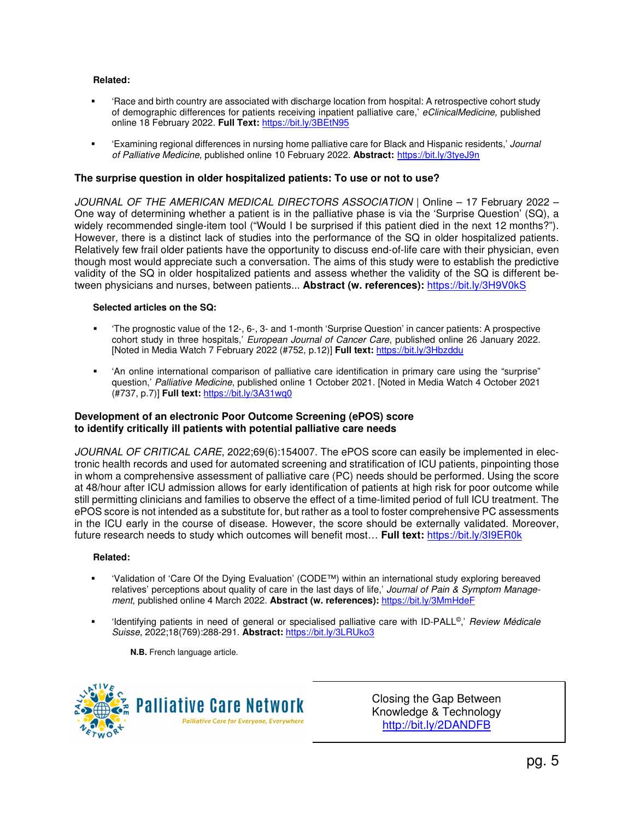#### **Related:**

- 'Race and birth country are associated with discharge location from hospital: A retrospective cohort study of demographic differences for patients receiving inpatient palliative care,' eClinicalMedicine, published online 18 February 2022. **Full Text:** https://bit.ly/3BEtN95
- 'Examining regional differences in nursing home palliative care for Black and Hispanic residents,' Journal of Palliative Medicine, published online 10 February 2022. **Abstract:** https://bit.ly/3tyeJ9n

### **The surprise question in older hospitalized patients: To use or not to use?**

JOURNAL OF THE AMERICAN MEDICAL DIRECTORS ASSOCIATION | Online – 17 February 2022 – One way of determining whether a patient is in the palliative phase is via the 'Surprise Question' (SQ), a widely recommended single-item tool ("Would I be surprised if this patient died in the next 12 months?"). However, there is a distinct lack of studies into the performance of the SQ in older hospitalized patients. Relatively few frail older patients have the opportunity to discuss end-of-life care with their physician, even though most would appreciate such a conversation. The aims of this study were to establish the predictive validity of the SQ in older hospitalized patients and assess whether the validity of the SQ is different between physicians and nurses, between patients... **Abstract (w. references):** https://bit.ly/3H9V0kS

#### **Selected articles on the SQ:**

- 'The prognostic value of the 12-, 6-, 3- and 1-month 'Surprise Question' in cancer patients: A prospective cohort study in three hospitals,' European Journal of Cancer Care, published online 26 January 2022. [Noted in Media Watch 7 February 2022 (#752, p.12)] **Full text:** https://bit.ly/3Hbzddu
- 'An online international comparison of palliative care identification in primary care using the "surprise" question,' Palliative Medicine, published online 1 October 2021. [Noted in Media Watch 4 October 2021 (#737, p.7)] **Full text:** https://bit.ly/3A31wq0

#### **Development of an electronic Poor Outcome Screening (ePOS) score to identify critically ill patients with potential palliative care needs**

JOURNAL OF CRITICAL CARE, 2022;69(6):154007. The ePOS score can easily be implemented in electronic health records and used for automated screening and stratification of ICU patients, pinpointing those in whom a comprehensive assessment of palliative care (PC) needs should be performed. Using the score at 48/hour after ICU admission allows for early identification of patients at high risk for poor outcome while still permitting clinicians and families to observe the effect of a time-limited period of full ICU treatment. The ePOS score is not intended as a substitute for, but rather as a tool to foster comprehensive PC assessments in the ICU early in the course of disease. However, the score should be externally validated. Moreover, future research needs to study which outcomes will benefit most… **Full text:** https://bit.ly/3I9ER0k

#### **Related:**

- 'Validation of 'Care Of the Dying Evaluation' (CODE™) within an international study exploring bereaved relatives' perceptions about quality of care in the last days of life,' Journal of Pain & Symptom Management, published online 4 March 2022. **Abstract (w. references):** https://bit.ly/3MmHdeF
- 'Identifying patients in need of general or specialised palliative care with ID-PALL©,' Review Médicale Suisse, 2022;18(769):288-291. **Abstract:** https://bit.ly/3LRUko3

**N.B.** French language article.



Closing the Gap Between Knowledge & Technology http://bit.ly/2DANDFB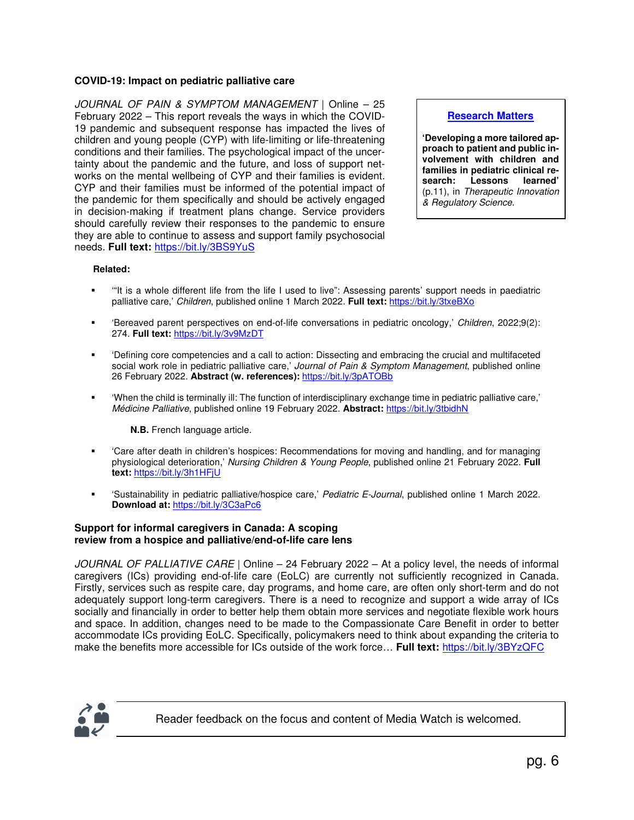### **COVID-19: Impact on pediatric palliative care**

JOURNAL OF PAIN & SYMPTOM MANAGEMENT | Online – 25 February 2022 – This report reveals the ways in which the COVID-19 pandemic and subsequent response has impacted the lives of children and young people (CYP) with life-limiting or life-threatening conditions and their families. The psychological impact of the uncertainty about the pandemic and the future, and loss of support networks on the mental wellbeing of CYP and their families is evident. CYP and their families must be informed of the potential impact of the pandemic for them specifically and should be actively engaged in decision-making if treatment plans change. Service providers should carefully review their responses to the pandemic to ensure they are able to continue to assess and support family psychosocial needs. **Full text:** https://bit.ly/3BS9YuS

#### **Research Matters**

**'Developing a more tailored approach to patient and public involvement with children and families in pediatric clinical re-Lessons** (p.11), in Therapeutic Innovation & Regulatory Science.

#### **Related:**

- '"It is a whole different life from the life I used to live": Assessing parents' support needs in paediatric palliative care,' Children, published online 1 March 2022. **Full text:** https://bit.ly/3txeBXo
- 'Bereaved parent perspectives on end-of-life conversations in pediatric oncology,' Children, 2022;9(2): 274. **Full text:** https://bit.ly/3v9MzDT
- 'Defining core competencies and a call to action: Dissecting and embracing the crucial and multifaceted social work role in pediatric palliative care,' Journal of Pain & Symptom Management, published online 26 February 2022. **Abstract (w. references):** https://bit.ly/3pATOBb
- 'When the child is terminally ill: The function of interdisciplinary exchange time in pediatric palliative care,' Médicine Palliative, published online 19 February 2022. **Abstract:** https://bit.ly/3tbidhN

#### **N.B.** French language article.

- 'Care after death in children's hospices: Recommendations for moving and handling, and for managing physiological deterioration,' Nursing Children & Young People, published online 21 February 2022. **Full text:** https://bit.ly/3h1HFjU
- 'Sustainability in pediatric palliative/hospice care,' Pediatric E-Journal, published online 1 March 2022. **Download at:** https://bit.ly/3C3aPc6

#### **Support for informal caregivers in Canada: A scoping review from a hospice and palliative/end-of-life care lens**

JOURNAL OF PALLIATIVE CARE | Online – 24 February 2022 – At a policy level, the needs of informal caregivers (ICs) providing end-of-life care (EoLC) are currently not sufficiently recognized in Canada. Firstly, services such as respite care, day programs, and home care, are often only short-term and do not adequately support long-term caregivers. There is a need to recognize and support a wide array of ICs socially and financially in order to better help them obtain more services and negotiate flexible work hours and space. In addition, changes need to be made to the Compassionate Care Benefit in order to better accommodate ICs providing EoLC. Specifically, policymakers need to think about expanding the criteria to make the benefits more accessible for ICs outside of the work force… **Full text:** https://bit.ly/3BYzQFC



Reader feedback on the focus and content of Media Watch is welcomed.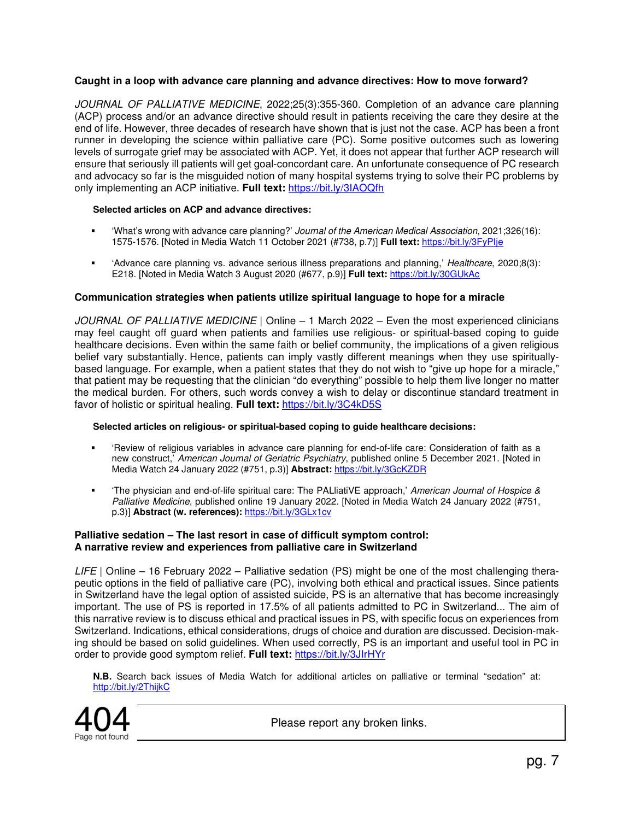# **Caught in a loop with advance care planning and advance directives: How to move forward?**

JOURNAL OF PALLIATIVE MEDICINE, 2022;25(3):355-360. Completion of an advance care planning (ACP) process and/or an advance directive should result in patients receiving the care they desire at the end of life. However, three decades of research have shown that is just not the case. ACP has been a front runner in developing the science within palliative care (PC). Some positive outcomes such as lowering levels of surrogate grief may be associated with ACP. Yet, it does not appear that further ACP research will ensure that seriously ill patients will get goal-concordant care. An unfortunate consequence of PC research and advocacy so far is the misguided notion of many hospital systems trying to solve their PC problems by only implementing an ACP initiative. **Full text:** https://bit.ly/3IAOQfh

#### **Selected articles on ACP and advance directives:**

- 'What's wrong with advance care planning?' Journal of the American Medical Association, 2021;326(16): 1575-1576. [Noted in Media Watch 11 October 2021 (#738, p.7)] **Full text:** https://bit.ly/3FyPIje
- 'Advance care planning vs. advance serious illness preparations and planning,' Healthcare, 2020;8(3): E218. [Noted in Media Watch 3 August 2020 (#677, p.9)] **Full text:** https://bit.ly/30GUkAc

#### **Communication strategies when patients utilize spiritual language to hope for a miracle**

JOURNAL OF PALLIATIVE MEDICINE | Online – 1 March 2022 – Even the most experienced clinicians may feel caught off guard when patients and families use religious- or spiritual-based coping to guide healthcare decisions. Even within the same faith or belief community, the implications of a given religious belief vary substantially. Hence, patients can imply vastly different meanings when they use spirituallybased language. For example, when a patient states that they do not wish to "give up hope for a miracle," that patient may be requesting that the clinician "do everything" possible to help them live longer no matter the medical burden. For others, such words convey a wish to delay or discontinue standard treatment in favor of holistic or spiritual healing. **Full text:** https://bit.ly/3C4kD5S

#### **Selected articles on religious- or spiritual-based coping to guide healthcare decisions:**

- 'Review of religious variables in advance care planning for end-of-life care: Consideration of faith as a new construct,' American Journal of Geriatric Psychiatry, published online 5 December 2021. [Noted in Media Watch 24 January 2022 (#751, p.3)] **Abstract:** https://bit.ly/3GcKZDR
- 'The physician and end-of-life spiritual care: The PALliatiVE approach,' American Journal of Hospice & Palliative Medicine, published online 19 January 2022. [Noted in Media Watch 24 January 2022 (#751, p.3)] **Abstract (w. references):** https://bit.ly/3GLx1cv

#### **Palliative sedation – The last resort in case of difficult symptom control: A narrative review and experiences from palliative care in Switzerland**

LIFE | Online – 16 February 2022 – Palliative sedation (PS) might be one of the most challenging therapeutic options in the field of palliative care (PC), involving both ethical and practical issues. Since patients in Switzerland have the legal option of assisted suicide, PS is an alternative that has become increasingly important. The use of PS is reported in 17.5% of all patients admitted to PC in Switzerland... The aim of this narrative review is to discuss ethical and practical issues in PS, with specific focus on experiences from Switzerland. Indications, ethical considerations, drugs of choice and duration are discussed. Decision-making should be based on solid guidelines. When used correctly, PS is an important and useful tool in PC in order to provide good symptom relief. **Full text:** https://bit.ly/3JIrHYr

**N.B.** Search back issues of Media Watch for additional articles on palliative or terminal "sedation" at: http://bit.ly/2ThijkC



Please report any broken links.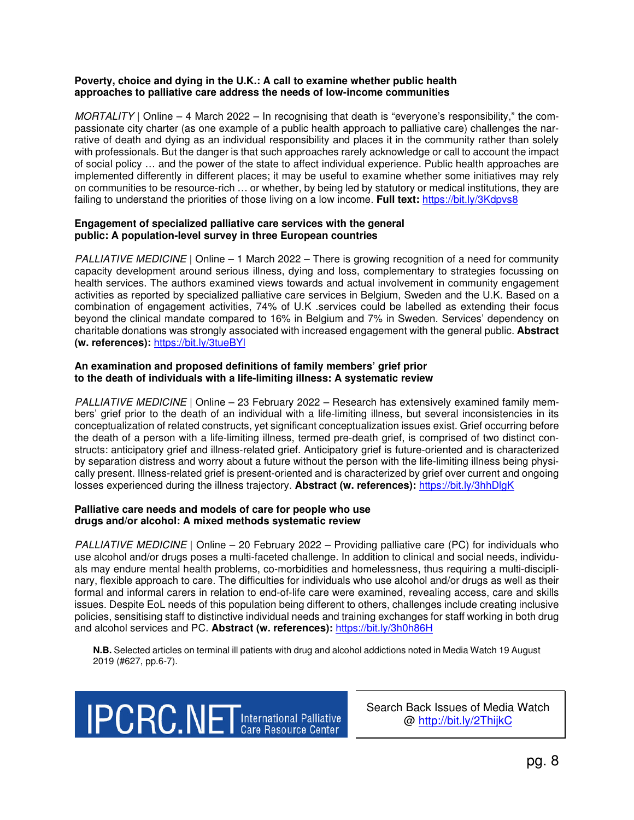#### **Poverty, choice and dying in the U.K.: A call to examine whether public health approaches to palliative care address the needs of low-income communities**

MORTALITY | Online – 4 March 2022 – In recognising that death is "everyone's responsibility," the compassionate city charter (as one example of a public health approach to palliative care) challenges the narrative of death and dying as an individual responsibility and places it in the community rather than solely with professionals. But the danger is that such approaches rarely acknowledge or call to account the impact of social policy … and the power of the state to affect individual experience. Public health approaches are implemented differently in different places; it may be useful to examine whether some initiatives may rely on communities to be resource-rich … or whether, by being led by statutory or medical institutions, they are failing to understand the priorities of those living on a low income. **Full text:** https://bit.ly/3Kdpvs8

#### **Engagement of specialized palliative care services with the general public: A population-level survey in three European countries**

PALLIATIVE MEDICINE | Online – 1 March 2022 – There is growing recognition of a need for community capacity development around serious illness, dying and loss, complementary to strategies focussing on health services. The authors examined views towards and actual involvement in community engagement activities as reported by specialized palliative care services in Belgium, Sweden and the U.K. Based on a combination of engagement activities, 74% of U.K .services could be labelled as extending their focus beyond the clinical mandate compared to 16% in Belgium and 7% in Sweden. Services' dependency on charitable donations was strongly associated with increased engagement with the general public. **Abstract (w. references):** https://bit.ly/3tueBYl

#### **An examination and proposed definitions of family members' grief prior to the death of individuals with a life-limiting illness: A systematic review**

PALLIATIVE MEDICINE | Online – 23 February 2022 – Research has extensively examined family members' grief prior to the death of an individual with a life-limiting illness, but several inconsistencies in its conceptualization of related constructs, yet significant conceptualization issues exist. Grief occurring before the death of a person with a life-limiting illness, termed pre-death grief, is comprised of two distinct constructs: anticipatory grief and illness-related grief. Anticipatory grief is future-oriented and is characterized by separation distress and worry about a future without the person with the life-limiting illness being physically present. Illness-related grief is present-oriented and is characterized by grief over current and ongoing losses experienced during the illness trajectory. **Abstract (w. references):** https://bit.ly/3hhDlgK

#### **Palliative care needs and models of care for people who use drugs and/or alcohol: A mixed methods systematic review**

PALLIATIVE MEDICINE | Online – 20 February 2022 – Providing palliative care (PC) for individuals who use alcohol and/or drugs poses a multi-faceted challenge. In addition to clinical and social needs, individuals may endure mental health problems, co-morbidities and homelessness, thus requiring a multi-disciplinary, flexible approach to care. The difficulties for individuals who use alcohol and/or drugs as well as their formal and informal carers in relation to end-of-life care were examined, revealing access, care and skills issues. Despite EoL needs of this population being different to others, challenges include creating inclusive policies, sensitising staff to distinctive individual needs and training exchanges for staff working in both drug and alcohol services and PC. **Abstract (w. references):** https://bit.ly/3h0h86H

**N.B.** Selected articles on terminal ill patients with drug and alcohol addictions noted in Media Watch 19 August 2019 (#627, pp.6-7).



Search Back Issues of Media Watch @ http://bit.ly/2ThijkC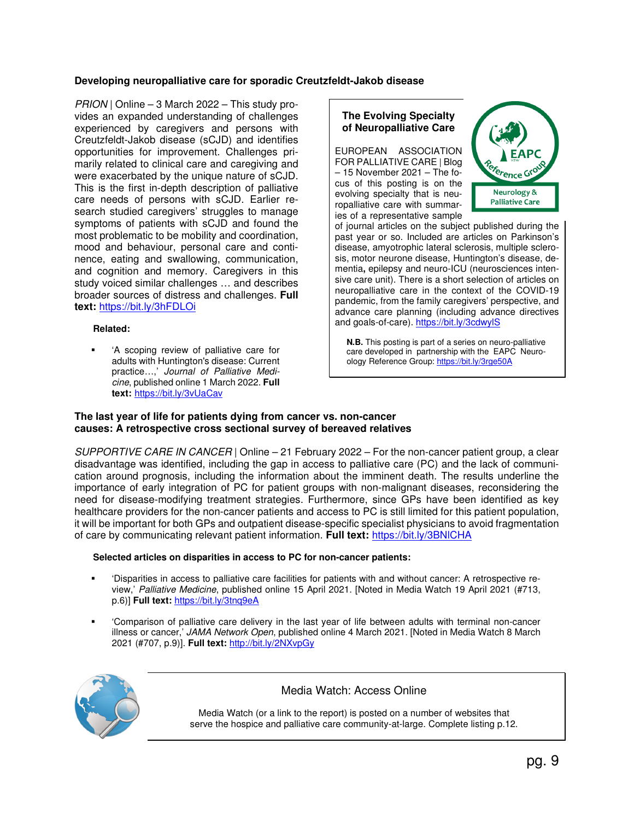# **Developing neuropalliative care for sporadic Creutzfeldt-Jakob disease**

PRION | Online – 3 March 2022 – This study provides an expanded understanding of challenges experienced by caregivers and persons with Creutzfeldt-Jakob disease (sCJD) and identifies opportunities for improvement. Challenges primarily related to clinical care and caregiving and were exacerbated by the unique nature of sCJD. This is the first in-depth description of palliative care needs of persons with sCJD. Earlier research studied caregivers' struggles to manage symptoms of patients with sCJD and found the most problematic to be mobility and coordination, mood and behaviour, personal care and continence, eating and swallowing, communication, and cognition and memory. Caregivers in this study voiced similar challenges … and describes broader sources of distress and challenges. **Full text:** https://bit.ly/3hFDLOi

#### **Related:**

 'A scoping review of palliative care for adults with Huntington's disease: Current practice…,' Journal of Palliative Medicine, published online 1 March 2022. **Full text:** https://bit.ly/3vUaCav

#### **The Evolving Specialty of Neuropalliative Care**

EUROPEAN ASSOCIATION FOR PALLIATIVE CARE | Blog – 15 November 2021 – The focus of this posting is on the evolving specialty that is neuropalliative care with summaries of a representative sample



of journal articles on the subject published during the past year or so. Included are articles on Parkinson's disease, amyotrophic lateral sclerosis, multiple sclerosis, motor neurone disease, Huntington's disease, dementia**,** epilepsy and neuro-ICU (neurosciences intensive care unit). There is a short selection of articles on neuropalliative care in the context of the COVID-19 pandemic, from the family caregivers' perspective, and advance care planning (including advance directives and goals-of-care). https://bit.ly/3cdwylS

 **N.B.** This posting is part of a series on neuro-palliative care developed in partnership with the EAPC Neuro ology Reference Group: https://bit.ly/3rge50A

#### **The last year of life for patients dying from cancer vs. non-cancer causes: A retrospective cross sectional survey of bereaved relatives**

SUPPORTIVE CARE IN CANCER | Online  $-21$  February 2022 – For the non-cancer patient group, a clear disadvantage was identified, including the gap in access to palliative care (PC) and the lack of communication around prognosis, including the information about the imminent death. The results underline the importance of early integration of PC for patient groups with non-malignant diseases, reconsidering the need for disease-modifying treatment strategies. Furthermore, since GPs have been identified as key healthcare providers for the non-cancer patients and access to PC is still limited for this patient population, it will be important for both GPs and outpatient disease-specific specialist physicians to avoid fragmentation of care by communicating relevant patient information. **Full text:** https://bit.ly/3BNlCHA

#### **Selected articles on disparities in access to PC for non-cancer patients:**

- 'Disparities in access to palliative care facilities for patients with and without cancer: A retrospective review,' Palliative Medicine, published online 15 April 2021. [Noted in Media Watch 19 April 2021 (#713, p.6)] **Full text:** https://bit.ly/3tnq9eA
- 'Comparison of palliative care delivery in the last year of life between adults with terminal non-cancer illness or cancer,' JAMA Network Open, published online 4 March 2021. [Noted in Media Watch 8 March 2021 (#707, p.9)]. **Full text:** http://bit.ly/2NXvpGy



# Media Watch: Access Online

Media Watch (or a link to the report) is posted on a number of websites that serve the hospice and palliative care community-at-large. Complete listing p.12.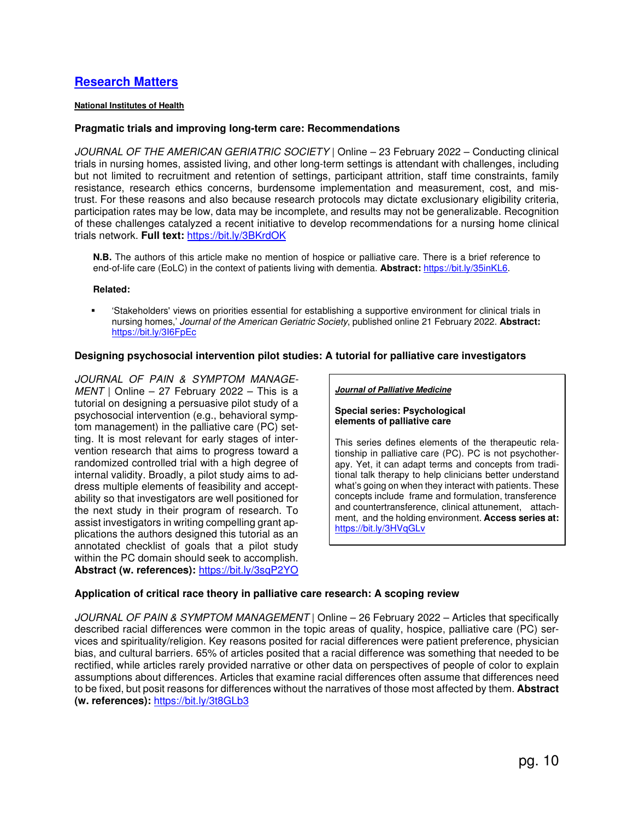# **Research Matters**

#### **National Institutes of Health**

#### **Pragmatic trials and improving long-term care: Recommendations**

JOURNAL OF THE AMERICAN GERIATRIC SOCIETY | Online – 23 February 2022 – Conducting clinical trials in nursing homes, assisted living, and other long-term settings is attendant with challenges, including but not limited to recruitment and retention of settings, participant attrition, staff time constraints, family resistance, research ethics concerns, burdensome implementation and measurement, cost, and mistrust. For these reasons and also because research protocols may dictate exclusionary eligibility criteria, participation rates may be low, data may be incomplete, and results may not be generalizable. Recognition of these challenges catalyzed a recent initiative to develop recommendations for a nursing home clinical trials network. **Full text:** https://bit.ly/3BKrdOK

**N.B.** The authors of this article make no mention of hospice or palliative care. There is a brief reference to end-of-life care (EoLC) in the context of patients living with dementia. **Abstract:** https://bit.ly/35inKL6.

#### **Related:**

 'Stakeholders' views on priorities essential for establishing a supportive environment for clinical trials in nursing homes,' Journal of the American Geriatric Society, published online 21 February 2022. **Abstract:**  https://bit.ly/3I6FpEc

#### **Designing psychosocial intervention pilot studies: A tutorial for palliative care investigators**

JOURNAL OF PAIN & SYMPTOM MANAGE- $MENT$  | Online – 27 February 2022 – This is a tutorial on designing a persuasive pilot study of a psychosocial intervention (e.g., behavioral symptom management) in the palliative care (PC) setting. It is most relevant for early stages of intervention research that aims to progress toward a randomized controlled trial with a high degree of internal validity. Broadly, a pilot study aims to address multiple elements of feasibility and acceptability so that investigators are well positioned for the next study in their program of research. To assist investigators in writing compelling grant applications the authors designed this tutorial as an annotated checklist of goals that a pilot study within the PC domain should seek to accomplish. **Abstract (w. references):** https://bit.ly/3sqP2YO

#### **Journal of Palliative Medicine**

#### **Special series: Psychological elements of palliative care**

This series defines elements of the therapeutic relationship in palliative care (PC). PC is not psychotherapy. Yet, it can adapt terms and concepts from traditional talk therapy to help clinicians better understand what's going on when they interact with patients. These concepts include frame and formulation, transference and countertransference, clinical attunement, attachment, and the holding environment. **Access series at:** https://bit.ly/3HVqGLv

#### **Application of critical race theory in palliative care research: A scoping review**

JOURNAL OF PAIN & SYMPTOM MANAGEMENT | Online – 26 February 2022 – Articles that specifically described racial differences were common in the topic areas of quality, hospice, palliative care (PC) services and spirituality/religion. Key reasons posited for racial differences were patient preference, physician bias, and cultural barriers. 65% of articles posited that a racial difference was something that needed to be rectified, while articles rarely provided narrative or other data on perspectives of people of color to explain assumptions about differences. Articles that examine racial differences often assume that differences need to be fixed, but posit reasons for differences without the narratives of those most affected by them. **Abstract (w. references):** https://bit.ly/3t8GLb3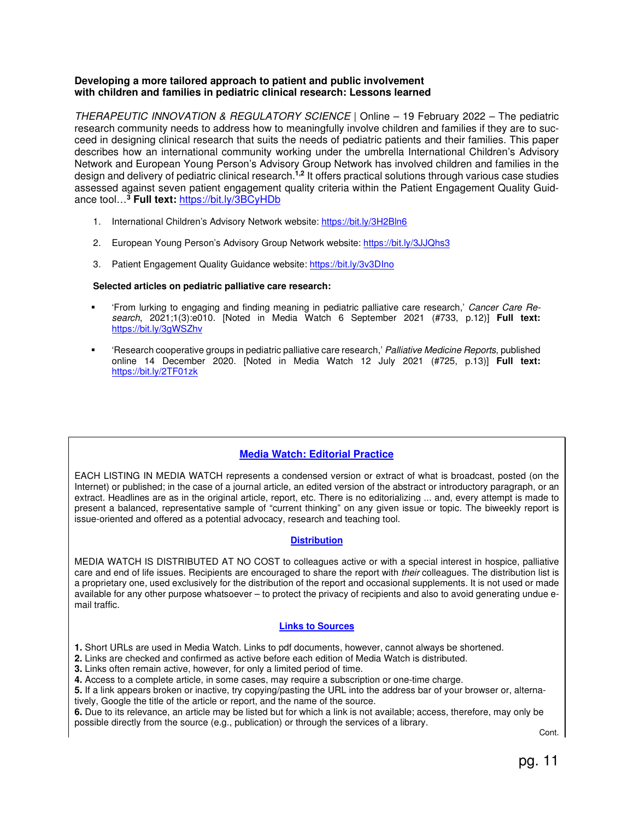#### **Developing a more tailored approach to patient and public involvement with children and families in pediatric clinical research: Lessons learned**

THERAPEUTIC INNOVATION & REGULATORY SCIENCE | Online – 19 February 2022 – The pediatric research community needs to address how to meaningfully involve children and families if they are to succeed in designing clinical research that suits the needs of pediatric patients and their families. This paper describes how an international community working under the umbrella International Children's Advisory Network and European Young Person's Advisory Group Network has involved children and families in the design and delivery of pediatric clinical research.**1,2** It offers practical solutions through various case studies assessed against seven patient engagement quality criteria within the Patient Engagement Quality Guidance tool…**<sup>3</sup> Full text:** https://bit.ly/3BCyHDb

- 1. International Children's Advisory Network website: https://bit.ly/3H2Bln6
- 2. European Young Person's Advisory Group Network website: https://bit.ly/3JJQhs3
- 3. Patient Engagement Quality Guidance website: https://bit.ly/3v3DIno

#### **Selected articles on pediatric palliative care research:**

- 'From lurking to engaging and finding meaning in pediatric palliative care research,' Cancer Care Research, 2021;1(3):e010. [Noted in Media Watch 6 September 2021 (#733, p.12)] **Full text:** https://bit.ly/3gWSZhv
- 'Research cooperative groups in pediatric palliative care research,' Palliative Medicine Reports, published online 14 December 2020. [Noted in Media Watch 12 July 2021 (#725, p.13)] **Full text:** https://bit.ly/2TF01zk

# **Media Watch: Editorial Practice**

EACH LISTING IN MEDIA WATCH represents a condensed version or extract of what is broadcast, posted (on the Internet) or published; in the case of a journal article, an edited version of the abstract or introductory paragraph, or an extract. Headlines are as in the original article, report, etc. There is no editorializing ... and, every attempt is made to present a balanced, representative sample of "current thinking" on any given issue or topic. The biweekly report is issue-oriented and offered as a potential advocacy, research and teaching tool.

#### **Distribution**

MEDIA WATCH IS DISTRIBUTED AT NO COST to colleagues active or with a special interest in hospice, palliative care and end of life issues. Recipients are encouraged to share the report with their colleagues. The distribution list is a proprietary one, used exclusively for the distribution of the report and occasional supplements. It is not used or made available for any other purpose whatsoever – to protect the privacy of recipients and also to avoid generating undue email traffic.

#### **Links to Sources**

**1.** Short URLs are used in Media Watch. Links to pdf documents, however, cannot always be shortened.

- **2.** Links are checked and confirmed as active before each edition of Media Watch is distributed.
- **3.** Links often remain active, however, for only a limited period of time.
- **4.** Access to a complete article, in some cases, may require a subscription or one-time charge.

**5.** If a link appears broken or inactive, try copying/pasting the URL into the address bar of your browser or, alternatively, Google the title of the article or report, and the name of the source.

**6.** Due to its relevance, an article may be listed but for which a link is not available; access, therefore, may only be possible directly from the source (e.g., publication) or through the services of a library.

Cont.